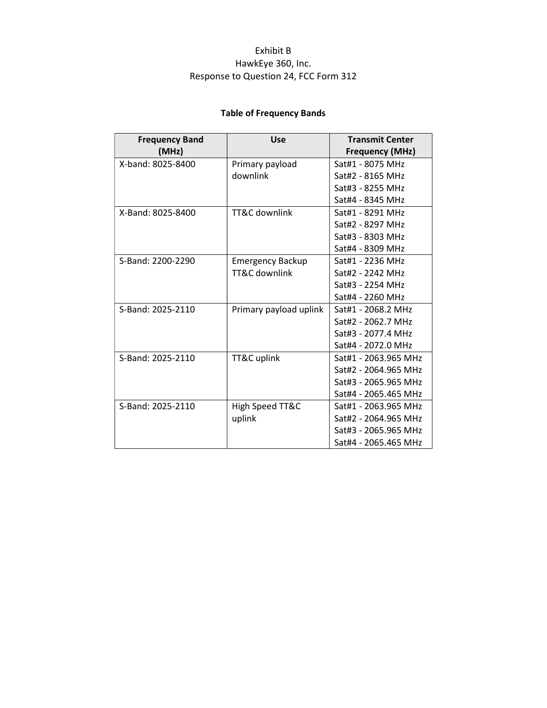# Exhibit B HawkEye 360, Inc. Response to Question 24, FCC Form 312

### Table of Frequency Bands

| <b>Frequency Band</b> | <b>Use</b>              | <b>Transmit Center</b> |
|-----------------------|-------------------------|------------------------|
| (MHz)                 |                         | <b>Frequency (MHz)</b> |
| X-band: 8025-8400     | Primary payload         | Sat#1 - 8075 MHz       |
|                       | downlink                | Sat#2 - 8165 MHz       |
|                       |                         | Sat#3 - 8255 MHz       |
|                       |                         | Sat#4 - 8345 MHz       |
| X-Band: 8025-8400     | TT&C downlink           | Sat#1 - 8291 MHz       |
|                       |                         | Sat#2 - 8297 MHz       |
|                       |                         | Sat#3 - 8303 MHz       |
|                       |                         | Sat#4 - 8309 MHz       |
| S-Band: 2200-2290     | <b>Emergency Backup</b> | Sat#1 - 2236 MHz       |
|                       | TT&C downlink           | Sat#2 - 2242 MHz       |
|                       |                         | Sat#3 - 2254 MHz       |
|                       |                         | Sat#4 - 2260 MHz       |
| S-Band: 2025-2110     | Primary payload uplink  | Sat#1 - 2068.2 MHz     |
|                       |                         | Sat#2 - 2062.7 MHz     |
|                       |                         | Sat#3 - 2077.4 MHz     |
|                       |                         | Sat#4 - 2072.0 MHz     |
| S-Band: 2025-2110     | TT&C uplink             | Sat#1 - 2063.965 MHz   |
|                       |                         | Sat#2 - 2064.965 MHz   |
|                       |                         | Sat#3 - 2065.965 MHz   |
|                       |                         | Sat#4 - 2065.465 MHz   |
| S-Band: 2025-2110     | High Speed TT&C         | Sat#1 - 2063.965 MHz   |
|                       | uplink                  | Sat#2 - 2064.965 MHz   |
|                       |                         | Sat#3 - 2065.965 MHz   |
|                       |                         | Sat#4 - 2065.465 MHz   |